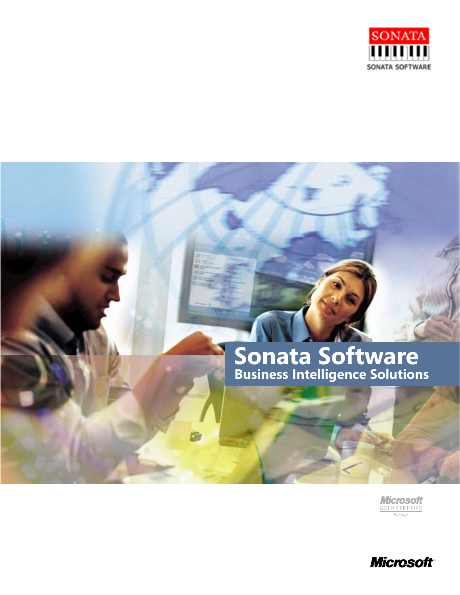

# **Sonata Software Business Intelligence Solutions**

GOLD CERTIFIED **Microsoft** *Partner*

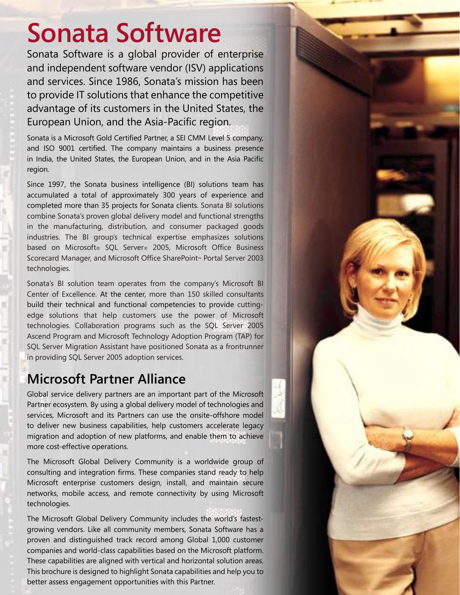# **Sonata Software**

Sonata Software is a global provider of enterprise and independent software vendor (ISV) applications and services. Since 1986, Sonata's mission has been to provide IT solutions that enhance the competitive advantage of its customers in the United States, the European Union, and the Asia-Pacific region.

Sonata is a Microsoft Gold Certified Partner, a SEI CMM Level 5 company, and ISO 9001 certified. The company maintains a business presence in India, the United States, the European Union, and in the Asia Pacific region.

Since 1997, the Sonata business intelligence (BI) solutions team has accumulated a total of approximately 300 years of experience and completed more than 35 projects for Sonata clients. Sonata BI solutions combine Sonata's proven global delivery model and functional strengths in the manufacturing, distribution, and consumer packaged goods industries. The BI group's technical expertise emphasizes solutions based on Microsoft® SQL Server® 2005, Microsoft Office Business Scorecard Manager, and Microsoft Office SharePoint™ Portal Server 2003 technologies.

Sonata's BI solution team operates from the company's Microsoft BI Center of Excellence. At the center, more than 150 skilled consultants build their technical and functional competencies to provide cuttingedge solutions that help customers use the power of Microsoft technologies. Collaboration programs such as the SQL Server 2005 Ascend Program and Microsoft Technology Adoption Program (TAP) for SQL Server Migration Assistant have positioned Sonata as a frontrunner in providing SQL Server 2005 adoption services.

# **Microsoft Partner Alliance**

Global service delivery partners are an important part of the Microsoft Partner ecosystem. By using a global delivery model of technologies and services, Microsoft and its Partners can use the onsite-offshore model to deliver new business capabilities, help customers accelerate legacy migration and adoption of new platforms, and enable them to achieve more cost-effective operations.

The Microsoft Global Delivery Community is a worldwide group of consulting and integration firms. These companies stand ready to help Microsoft enterprise customers design, install, and maintain secure networks, mobile access, and remote connectivity by using Microsoft technologies.

The Microsoft Global Delivery Community includes the world's fastestgrowing vendors. Like all community members, Sonata Software has a proven and distinguished track record among Global 1,000 customer companies and world-class capabilities based on the Microsoft platform. These capabilities are aligned with vertical and horizontal solution areas. This brochure is designed to highlight Sonata capabilities and help you to better assess engagement opportunities with this Partner.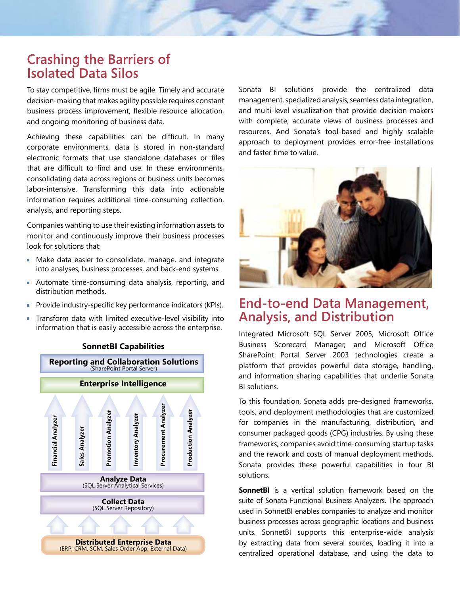# **Crashing the Barriers of Isolated Data Silos**

To stay competitive, firms must be agile. Timely and accurate decision-making that makes agility possible requires constant business process improvement, flexible resource allocation, and ongoing monitoring of business data.

Achieving these capabilities can be difficult. In many corporate environments, data is stored in non-standard electronic formats that use standalone databases or files that are difficult to find and use. In these environments, consolidating data across regions or business units becomes labor-intensive. Transforming this data into actionable information requires additional time-consuming collection, analysis, and reporting steps.

Companies wanting to use their existing information assets to monitor and continuously improve their business processes look for solutions that:

- Make data easier to consolidate, manage, and integrate into analyses, business processes, and back-end systems.
- Automate time-consuming data analysis, reporting, and distribution methods.
- **Provide industry-specific key performance indicators (KPIs).**
- Transform data with limited executive-level visibility into information that is easily accessible across the enterprise.



**SonnetBI Capabilities**

Sonata BI solutions provide the centralized data management, specialized analysis, seamless data integration, and multi-level visualization that provide decision makers with complete, accurate views of business processes and resources. And Sonata's tool-based and highly scalable approach to deployment provides error-free installations and faster time to value.



# **End-to-end Data Management, Analysis, and Distribution**

Integrated Microsoft SQL Server 2005, Microsoft Office Business Scorecard Manager, and Microsoft Office SharePoint Portal Server 2003 technologies create a platform that provides powerful data storage, handling, and information sharing capabilities that underlie Sonata BI solutions.

To this foundation, Sonata adds pre-designed frameworks, tools, and deployment methodologies that are customized for companies in the manufacturing, distribution, and consumer packaged goods (CPG) industries. By using these frameworks, companies avoid time-consuming startup tasks and the rework and costs of manual deployment methods. Sonata provides these powerful capabilities in four BI solutions.

**SonnetBI** is a vertical solution framework based on the suite of Sonata Functional Business Analyzers. The approach used in SonnetBI enables companies to analyze and monitor business processes across geographic locations and business units. SonnetBI supports this enterprise-wide analysis by extracting data from several sources, loading it into a centralized operational database, and using the data to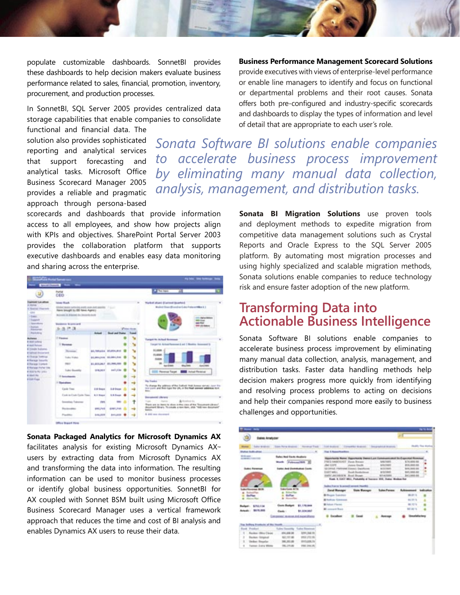populate customizable dashboards. SonnetBI provides these dashboards to help decision makers evaluate business performance related to sales, financial, promotion, inventory, procurement, and production processes.

In SonnetBI, SQL Server 2005 provides centralized data storage capabilities that enable companies to consolidate

functional and financial data. The solution also provides sophisticated reporting and analytical services that support forecasting and analytical tasks. Microsoft Office Business Scorecard Manager 2005 provides a reliable and pragmatic approach through persona-based

scorecards and dashboards that provide information access to all employees, and show how projects align with KPIs and objectives. SharePoint Portal Server 2003 provides the collaboration platform that supports executive dashboards and enables easy data monitoring and sharing across the enterprise.

| <b>STATISTIC</b><br>$\sim$<br><b>Portugal</b><br>u.<br>CEO<br>term find.<br>Naskal plum (Connell Scatter)<br>Mission Steam Mission and also find a lattified in 1<br>Unlike team national anally need and passing 17 (11)<br>Have brought to ENI News Agency<br>Becovery in driving his intensity during<br><b>Agriculture</b><br>m<br>$-$<br><b>Residence Business and</b><br><b><i>PRIVATE GALLERY</i></b><br>- Angelands<br>选择其<br><b><i>Plans form</i></b><br><b><i><u>Rightwayner</u></i></b><br><b>Auck Alley</b><br><b>Book and States - Road</b><br><b>Antune</b><br>1 Faces<br><b>Target Vs Arthur Research</b><br>Toront'11 Actual/Immedia and 1 Months Assessed to<br>11 Bondage<br><b>61,60686</b><br><b>ALIMBAR BURNERS</b><br><b>Screener</b><br><b>FLARM</b><br><b>Sales Wales</b><br>\$1,004,008 \$5,001,000<br>w<br><b>SAMP</b><br>۰.<br>41-803-MLF 81-786-FBT<br><b>HELP</b><br><b><i>San Officers</i></b><br><b>AUTO ATM</b><br>۰.<br>Lake Bountle<br>0706,001<br><b>SIMI Anthuri Reserved</b><br><b>III</b> Pavenus Target<br>- 2<br>May Frankric<br><b>The America</b><br>To shange the pidness of the Followit Viale Assess derivativism the<br>tion parts and their right that (th), or the right seemed address to it.<br><b>Cardo Trace</b><br><b><i>D.M. Dogs</i></b><br><b>Lift Stage</b><br><b>Boker</b><br>Cash in Cash Early Stew<br><b>ALL Based</b><br><b>L.S. Dages</b><br>一家<br><b>Benedicted Library</b><br>Articologica<br>Tuesday<br><b>Senatory Trainers</b><br>1443<br>$\sim$<br>Roads and his identity to release an object state of their films and exchanged to be apply<br>despited Brain, To crede a love less, and "Kill race document"<br>6381, 741<br><b>SMA P48</b><br><b>The Ann Allen</b><br>⇢<br>9. 695 cars discussed<br>President<br>644,004<br>441,448<br>$-1$ | --                                                                                                                                                                                                                                                                                            | <b>Secret Secrets Library Many</b> |  |  |  |  |
|----------------------------------------------------------------------------------------------------------------------------------------------------------------------------------------------------------------------------------------------------------------------------------------------------------------------------------------------------------------------------------------------------------------------------------------------------------------------------------------------------------------------------------------------------------------------------------------------------------------------------------------------------------------------------------------------------------------------------------------------------------------------------------------------------------------------------------------------------------------------------------------------------------------------------------------------------------------------------------------------------------------------------------------------------------------------------------------------------------------------------------------------------------------------------------------------------------------------------------------------------------------------------------------------------------------------------------------------------------------------------------------------------------------------------------------------------------------------------------------------------------------------------------------------------------------------------------------------------------------------------------------------------------------------------------------------------------------------------------------------------------------------------------------------------------------------|-----------------------------------------------------------------------------------------------------------------------------------------------------------------------------------------------------------------------------------------------------------------------------------------------|------------------------------------|--|--|--|--|
|                                                                                                                                                                                                                                                                                                                                                                                                                                                                                                                                                                                                                                                                                                                                                                                                                                                                                                                                                                                                                                                                                                                                                                                                                                                                                                                                                                                                                                                                                                                                                                                                                                                                                                                                                                                                                      |                                                                                                                                                                                                                                                                                               |                                    |  |  |  |  |
|                                                                                                                                                                                                                                                                                                                                                                                                                                                                                                                                                                                                                                                                                                                                                                                                                                                                                                                                                                                                                                                                                                                                                                                                                                                                                                                                                                                                                                                                                                                                                                                                                                                                                                                                                                                                                      | <b>Frankredd Lats adloss</b><br>a more<br>a Statistic Hispanich<br>-24<br>$-1$ ees<br>1 Support<br>1 Newstern                                                                                                                                                                                 |                                    |  |  |  |  |
|                                                                                                                                                                                                                                                                                                                                                                                                                                                                                                                                                                                                                                                                                                                                                                                                                                                                                                                                                                                                                                                                                                                                                                                                                                                                                                                                                                                                                                                                                                                                                                                                                                                                                                                                                                                                                      |                                                                                                                                                                                                                                                                                               |                                    |  |  |  |  |
|                                                                                                                                                                                                                                                                                                                                                                                                                                                                                                                                                                                                                                                                                                                                                                                                                                                                                                                                                                                                                                                                                                                                                                                                                                                                                                                                                                                                                                                                                                                                                                                                                                                                                                                                                                                                                      | <b>Automa</b><br><b>E-AAS LONGS</b><br>a aud Holuzoi<br><b>A Treate Subarai</b><br><b>Britain American</b><br><b>E</b> Phone Todding<br>a Hanage Sasaris<br><b>Effetage Games</b><br><b>E-Holynaux Fortun Line</b><br><b>KIND OF BUILDING</b><br>a start way<br>a tital Fisia<br><b>MARCH</b> |                                    |  |  |  |  |
|                                                                                                                                                                                                                                                                                                                                                                                                                                                                                                                                                                                                                                                                                                                                                                                                                                                                                                                                                                                                                                                                                                                                                                                                                                                                                                                                                                                                                                                                                                                                                                                                                                                                                                                                                                                                                      |                                                                                                                                                                                                                                                                                               |                                    |  |  |  |  |
|                                                                                                                                                                                                                                                                                                                                                                                                                                                                                                                                                                                                                                                                                                                                                                                                                                                                                                                                                                                                                                                                                                                                                                                                                                                                                                                                                                                                                                                                                                                                                                                                                                                                                                                                                                                                                      |                                                                                                                                                                                                                                                                                               |                                    |  |  |  |  |
|                                                                                                                                                                                                                                                                                                                                                                                                                                                                                                                                                                                                                                                                                                                                                                                                                                                                                                                                                                                                                                                                                                                                                                                                                                                                                                                                                                                                                                                                                                                                                                                                                                                                                                                                                                                                                      |                                                                                                                                                                                                                                                                                               |                                    |  |  |  |  |
|                                                                                                                                                                                                                                                                                                                                                                                                                                                                                                                                                                                                                                                                                                                                                                                                                                                                                                                                                                                                                                                                                                                                                                                                                                                                                                                                                                                                                                                                                                                                                                                                                                                                                                                                                                                                                      |                                                                                                                                                                                                                                                                                               |                                    |  |  |  |  |
|                                                                                                                                                                                                                                                                                                                                                                                                                                                                                                                                                                                                                                                                                                                                                                                                                                                                                                                                                                                                                                                                                                                                                                                                                                                                                                                                                                                                                                                                                                                                                                                                                                                                                                                                                                                                                      |                                                                                                                                                                                                                                                                                               |                                    |  |  |  |  |

**Sonata Packaged Analytics for Microsoft Dynamics AX**  facilitates analysis for existing Microsoft Dynamics AX™ users by extracting data from Microsoft Dynamics AX and transforming the data into information. The resulting information can be used to monitor business processes or identify global business opportunities. SonnetBI for AX coupled with Sonnet BSM built using Microsoft Office Business Scorecard Manager uses a vertical framework approach that reduces the time and cost of BI analysis and enables Dynamics AX users to reuse their data.

**Business Performance Management Scorecard Solutions**  provide executives with views of enterprise-level performance or enable line managers to identify and focus on functional or departmental problems and their root causes. Sonata offers both pre-configured and industry-specific scorecards and dashboards to display the types of information and level of detail that are appropriate to each user's role.

*Sonata Software BI solutions enable companies to accelerate business process improvement by eliminating many manual data collection, analysis, management, and distribution tasks.*

> **Sonata BI Migration Solutions** use proven tools and deployment methods to expedite migration from competitive data management solutions such as Crystal Reports and Oracle Express to the SQL Server 2005 platform. By automating most migration processes and using highly specialized and scalable migration methods, Sonata solutions enable companies to reduce technology risk and ensure faster adoption of the new platform.

# **Transforming Data into Actionable Business Intelligence**

Sonata Software BI solutions enable companies to accelerate business process improvement by eliminating many manual data collection, analysis, management, and distribution tasks. Faster data handling methods help decision makers progress more quickly from identifying and resolving process problems to acting on decisions and help their companies respond more easily to business challenges and opportunities.

| Sales Analyzer                                 |                                                                                       |                                         |                                                            |                                                                            |                                                                                                                     |                                                | <b>SHALL</b>             |
|------------------------------------------------|---------------------------------------------------------------------------------------|-----------------------------------------|------------------------------------------------------------|----------------------------------------------------------------------------|---------------------------------------------------------------------------------------------------------------------|------------------------------------------------|--------------------------|
| Torico despicato<br><b>STATES</b>              |                                                                                       | Signit Rona Moscowe - Alexander Fisch   | <b>TOM ANNUAL</b>                                          | Consolidad Modernik                                                        | General Address of Americans                                                                                        |                                                | <b>Hodily Roa Marked</b> |
| <b>Distant Individual</b>                      |                                                                                       | $\sim$                                  | Top 5 Space Regulars                                       |                                                                            |                                                                                                                     |                                                | m.                       |
| Mind-cape of<br>104401144110                   | <b>Bahas Bod Earth dealers</b><br>Monte Automobilità 30                               |                                         | Jac LIVE                                                   | FRED HARFARDT Visua Breasy<br>Awaren Startin                               | bygramachy Manuel Dippermashe Dienser Lake Easterbands and the Eage mod Moseum<br><b>UNITERS</b><br>Afarmer         | E74,006-06<br><b>B15,000,00</b>                |                          |
| <b>Bullet Reserves</b>                         | <b>Sales And European Luck-</b>                                                       |                                         | <b>SHAT WELL</b><br>market and relationship in the bank of | Growing manual Useau's Swahook<br>Rook Southstand                          | <b>BUSINESS</b><br>activities.<br><b>SITALTERS</b><br>Rock: N. 6357 Will., Podukkly of Sanson 653. Suite: Modes Rat | \$11,000.00<br>941,986.68<br>\$11,988.00       |                          |
| --<br><b><i><u><u>Rockwick</u>ling</u></i></b> | <b><i><u><i>Index Easter</i></u></i></b> #776<br><b>British Re</b><br><b>Suffrage</b> |                                         | <b>John Benzer</b><br><b>Bithopin Telestrat</b>            | Sales Ramar Scansal Several Health)<br><b><i><u>State Mannance</u></i></b> | <b><i><u>Subject Pressure</u></i></b>                                                                               | <b><i><u>Automotive</u></i></b><br>49, 271, 11 |                          |
|                                                |                                                                                       |                                         | <b>B</b> hall as Scheman                                   |                                                                            |                                                                                                                     | 44,50 %                                        |                          |
| <b>Bulget: 4750100</b>                         | <b>Casis Budget</b>                                                                   | \$1.179,888                             | <b>Bildert Fleren</b>                                      |                                                                            |                                                                                                                     | 48, 127 %                                      |                          |
| Arborako 19879, Milita                         | Castle 1                                                                              | \$1,504,557                             | <b>Bill announce Road</b>                                  |                                                                            |                                                                                                                     | MELBURN.                                       |                          |
|                                                | prints' motivat for baptistician                                                      |                                         | Encadeur                                                   |                                                                            |                                                                                                                     | <b>Inspirator</b>                              |                          |
| The Selling Products of the Health             |                                                                                       |                                         |                                                            |                                                                            |                                                                                                                     |                                                |                          |
| <b>Bank Prestori</b><br>Renker (Ring Class)    |                                                                                       | <b>Sales Greating Sales Binessue</b>    |                                                            |                                                                            |                                                                                                                     |                                                |                          |
| ٠<br>×<br><b>Reckon Singinal</b>               | 491,698,000<br>162,197,988                                                            | <b><i>SIRCAM IN</i></b><br>9150 JTL 10: |                                                            |                                                                            |                                                                                                                     |                                                |                          |
| ×<br><b>Telen Beader</b>                       | 366, 283, 88                                                                          | <b>PHOLESKJ'S</b>                       |                                                            |                                                                            |                                                                                                                     |                                                |                          |
| Turner Europ Wilms<br>×                        | THE 274 HW                                                                            | PROJECTO                                |                                                            |                                                                            |                                                                                                                     |                                                |                          |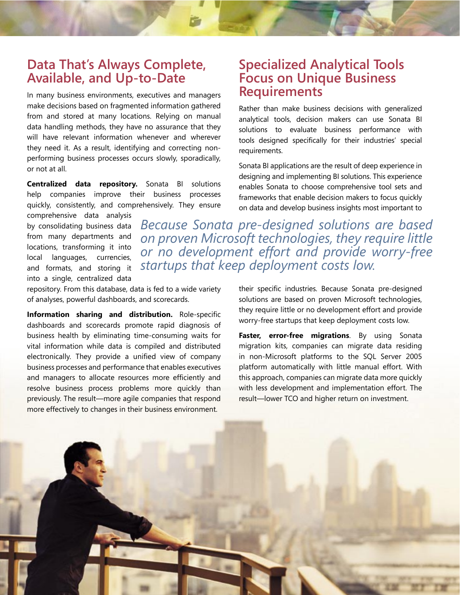# **Data That's Always Complete, Available, and Up-to-Date**

In many business environments, executives and managers make decisions based on fragmented information gathered from and stored at many locations. Relying on manual data handling methods, they have no assurance that they will have relevant information whenever and wherever they need it. As a result, identifying and correcting nonperforming business processes occurs slowly, sporadically, or not at all.

**Centralized data repository.** Sonata BI solutions help companies improve their business processes quickly, consistently, and comprehensively. They ensure

comprehensive data analysis by consolidating business data from many departments and locations, transforming it into local languages, currencies, and formats, and storing it into a single, centralized data

repository. From this database, data is fed to a wide variety of analyses, powerful dashboards, and scorecards.

**Information sharing and distribution.** Role-specific dashboards and scorecards promote rapid diagnosis of business health by eliminating time-consuming waits for vital information while data is compiled and distributed electronically. They provide a unified view of company business processes and performance that enables executives and managers to allocate resources more efficiently and resolve business process problems more quickly than previously. The result—more agile companies that respond more effectively to changes in their business environment.

# **Specialized Analytical Tools Focus on Unique Business Requirements**

Rather than make business decisions with generalized analytical tools, decision makers can use Sonata BI solutions to evaluate business performance with tools designed specifically for their industries' special requirements.

Sonata BI applications are the result of deep experience in designing and implementing BI solutions. This experience enables Sonata to choose comprehensive tool sets and frameworks that enable decision makers to focus quickly on data and develop business insights most important to

*Because Sonata pre-designed solutions are based on proven Microsoft technologies, they require little or no development effort and provide worry-free startups that keep deployment costs low.*

> their specific industries. Because Sonata pre-designed solutions are based on proven Microsoft technologies, they require little or no development effort and provide worry-free startups that keep deployment costs low.

> **Faster, error-free migrations**. By using Sonata migration kits, companies can migrate data residing in non-Microsoft platforms to the SQL Server 2005 platform automatically with little manual effort. With this approach, companies can migrate data more quickly with less development and implementation effort. The result—lower TCO and higher return on investment.

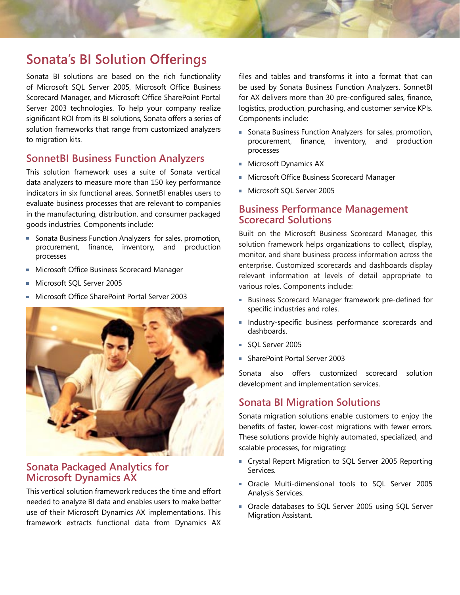# **Sonata's BI Solution Offerings**

Sonata BI solutions are based on the rich functionality of Microsoft SQL Server 2005, Microsoft Office Business Scorecard Manager, and Microsoft Office SharePoint Portal Server 2003 technologies. To help your company realize significant ROI from its BI solutions, Sonata offers a series of solution frameworks that range from customized analyzers to migration kits.

## **SonnetBI Business Function Analyzers**

This solution framework uses a suite of Sonata vertical data analyzers to measure more than 150 key performance indicators in six functional areas. SonnetBI enables users to evaluate business processes that are relevant to companies in the manufacturing, distribution, and consumer packaged goods industries. Components include:

- Sonata Business Function Analyzers for sales, promotion, procurement, finance, inventory, and production processes
- **Microsoft Office Business Scorecard Manager**
- Microsoft SQL Server 2005
- Microsoft Office SharePoint Portal Server 2003



### **Sonata Packaged Analytics for Microsoft Dynamics AX**

This vertical solution framework reduces the time and effort needed to analyze BI data and enables users to make better use of their Microsoft Dynamics AX implementations. This framework extracts functional data from Dynamics AX files and tables and transforms it into a format that can be used by Sonata Business Function Analyzers. SonnetBI for AX delivers more than 30 pre-configured sales, finance, logistics, production, purchasing, and customer service KPIs. Components include:

- **Sonata Business Function Analyzers for sales, promotion,** procurement, finance, inventory, and production processes
- **Microsoft Dynamics AX**
- **Microsoft Office Business Scorecard Manager**
- **Microsoft SQL Server 2005**

### **Business Performance Management Scorecard Solutions**

Built on the Microsoft Business Scorecard Manager, this solution framework helps organizations to collect, display, monitor, and share business process information across the enterprise. Customized scorecards and dashboards display relevant information at levels of detail appropriate to various roles. Components include:

- Business Scorecard Manager framework pre-defined for specific industries and roles.
- **Industry-specific business performance scorecards and** dashboards.
- SQL Server 2005
- SharePoint Portal Server 2003

Sonata also offers customized scorecard solution development and implementation services.

### **Sonata BI Migration Solutions**

Sonata migration solutions enable customers to enjoy the benefits of faster, lower-cost migrations with fewer errors. These solutions provide highly automated, specialized, and scalable processes, for migrating:

- Crystal Report Migration to SQL Server 2005 Reporting Services.
- Oracle Multi-dimensional tools to SQL Server 2005 Analysis Services.
- **Dracle databases to SQL Server 2005 using SQL Server** Migration Assistant.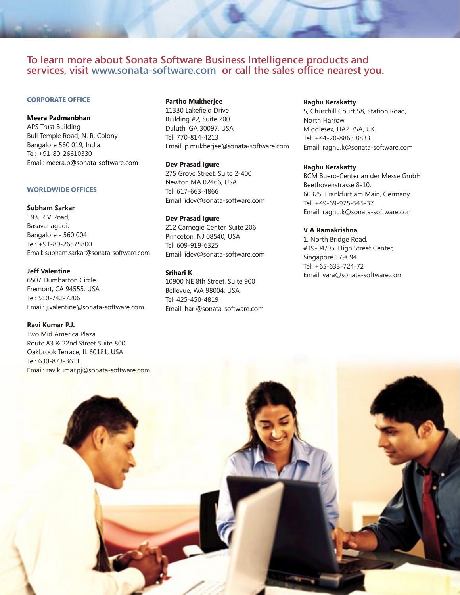#### **To learn more about Sonata Software Business Intelligence products and services, visit www.sonata-software.com or call the sales office nearest you.**

#### **CORPORATE OFFICE**

#### **Meera Padmanbhan**

APS Trust Building Bull Temple Road, N. R. Colony Bangalore 560 019, India Tel: +91-80-26610330 Email: meera.p@sonata-software.com

#### **WORLDWIDE OFFICES**

#### **Subham Sarkar**

193, R V Road, Basavanagudi, Bangalore - 560 004 Tel: +91-80-26575800 Email: subham.sarkar@sonata-software.com

#### **Jeff Valentine**

6507 Dumbarton Circle Fremont, CA 94555, USA Tel: 510-742-7206 Email: j.valentine@sonata-software.com

#### **Ravi Kumar P.J.**

Two Mid America Plaza Route 83 & 22nd Street Suite 800 Oakbrook Terrace, IL 60181, USA

#### **Partho Mukherjee**

11330 Lakefield Drive Building #2, Suite 200 Duluth, GA 30097, USA Tel: 770-814-4213 Email: p.mukherjee@sonata-software.com

#### **Dev Prasad Igure**

275 Grove Street, Suite 2-400 Newton MA 02466, USA Tel: 617-663-4866 Email: idev@sonata-software.com

#### **Dev Prasad Igure**

212 Carnegie Center, Suite 206 Princeton, NJ 08540, USA Tel: 609-919-6325 Email: idev@sonata-software.com

#### **Srihari K**

10900 NE 8th Street, Suite 900 Bellevue, WA 98004, USA Tel: 425-450-4819 Email: hari@sonata-software.com

#### **Raghu Kerakatty**

5, Churchill Court 58, Station Road, North Harrow Middlesex, HA2 7SA, UK Tel: +44-20-8863 8833 Email: raghu.k@sonata-software.com

#### **Raghu Kerakatty**

BCM Buero-Center an der Messe GmbH Beethovenstrasse 8-10, 60325, Frankfurt am Main, Germany Tel: +49-69-975-545-37 Email: raghu.k@sonata-software.com

#### **V A Ramakrishna**

1, North Bridge Road, #19-04/05, High Street Center, Singapore 179094 Tel: +65-633-724-72 Email: vara@sonata-software.com